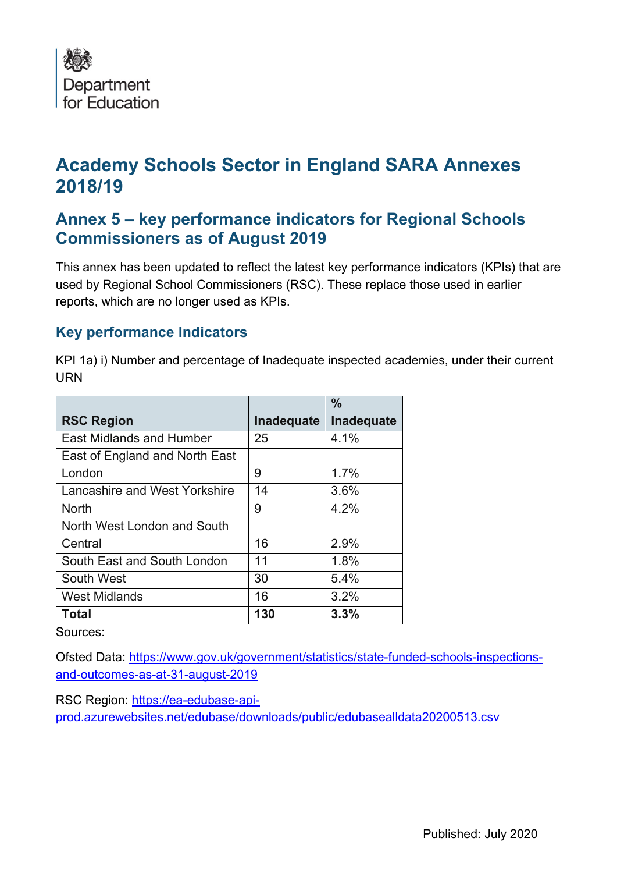

## **Academy Schools Sector in England SARA Annexes 2018/19**

## **Annex 5 – key performance indicators for Regional Schools Commissioners as of August 2019**

 This annex has been updated to reflect the latest key performance indicators (KPIs) that are used by Regional School Commissioners (RSC). These replace those used in earlier reports, which are no longer used as KPIs.

## **Key performance Indicators**

KPI 1a) i) Number and percentage of Inadequate inspected academies, under their current URN

|                                 |                   | $\frac{0}{0}$ |
|---------------------------------|-------------------|---------------|
| <b>RSC Region</b>               | <b>Inadequate</b> | Inadequate    |
| <b>East Midlands and Humber</b> | 25                | 4.1%          |
| East of England and North East  |                   |               |
| London                          | 9                 | 1.7%          |
| Lancashire and West Yorkshire   | 14                | 3.6%          |
| <b>North</b>                    | 9                 | 4.2%          |
| North West London and South     |                   |               |
| Central                         | 16                | 2.9%          |
| South East and South London     | 11                | 1.8%          |
| South West                      | 30                | 5.4%          |
| <b>West Midlands</b>            | 16                | 3.2%          |
| <b>Total</b>                    | 130               | 3.3%          |

Sources:

and-outcomes-as-at-31-august-2019 Ofsted Data: <https://www.gov.uk/government/statistics/state-funded-schools-inspections>-

prod.azurewebsites.net/edubase/downloads/public/edubasealIdata20200513.csv RSC Region:<https://ea-edubase-api>[prod.azurewebsites.net/edubase/downloads/public/edubasealldata20200513.csv](https://prod.azurewebsites.net/edubase/downloads/public/edubasealldata20200513.csv)<br>Published: July 2020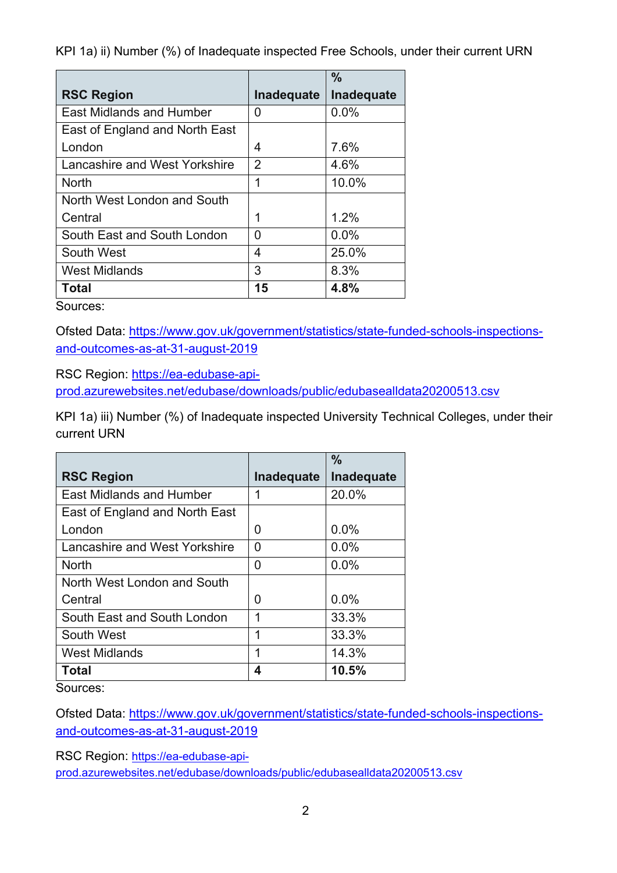KPI 1a) ii) Number (%) of Inadequate inspected Free Schools, under their current URN

|                                 |                | $\frac{0}{0}$ |
|---------------------------------|----------------|---------------|
| <b>RSC Region</b>               | Inadequate     | Inadequate    |
| <b>East Midlands and Humber</b> | 0              | 0.0%          |
| East of England and North East  |                |               |
| London                          | 4              | 7.6%          |
| Lancashire and West Yorkshire   | $\overline{2}$ | 4.6%          |
| <b>North</b>                    | 1              | 10.0%         |
| North West London and South     |                |               |
| Central                         | 1              | 1.2%          |
| South East and South London     | U              | 0.0%          |
| South West                      | 4              | 25.0%         |
| <b>West Midlands</b>            | 3              | 8.3%          |
| <b>Total</b>                    | 15             | 4.8%          |

Sources:

and-outcomes-as-at-31-august-2019 Ofsted Data: <https://www.gov.uk/government/statistics/state-funded-schools-inspections>-

RSC Region: [https://ea-edubase-api-](https://ea-edubase-api)

prod.azurewebsites.net/edubase/downloads/public/edubasealldata20200513.csv

KPI 1a) iii) Number (%) of Inadequate inspected University Technical Colleges, under their current URN

|                                 |            | $\frac{0}{0}$ |
|---------------------------------|------------|---------------|
| <b>RSC Region</b>               | Inadequate | Inadequate    |
| <b>East Midlands and Humber</b> | 1          | 20.0%         |
| East of England and North East  |            |               |
| London                          | O          | 0.0%          |
| Lancashire and West Yorkshire   | 0          | 0.0%          |
| <b>North</b>                    | O          | 0.0%          |
| North West London and South     |            |               |
| Central                         | O          | 0.0%          |
| South East and South London     | 1          | 33.3%         |
| South West                      | 1          | 33.3%         |
| <b>West Midlands</b>            | 1          | 14.3%         |
| Total                           | Δ          | 10.5%         |

Sources:

Ofsted Data: <https://www.gov.uk/government/statistics/state-funded-schools-inspections>-

<u>and-outcomes-as-at-31-august-2019</u><br>RSC Region: <u>https://ea-edubase-api-</u>

[prod.azurewebsites.net/edubase/downloads/public/edubasealldata20200513.csv](https://prod.azurewebsites.net/edubase/downloads/public/edubasealldata20200513.csv)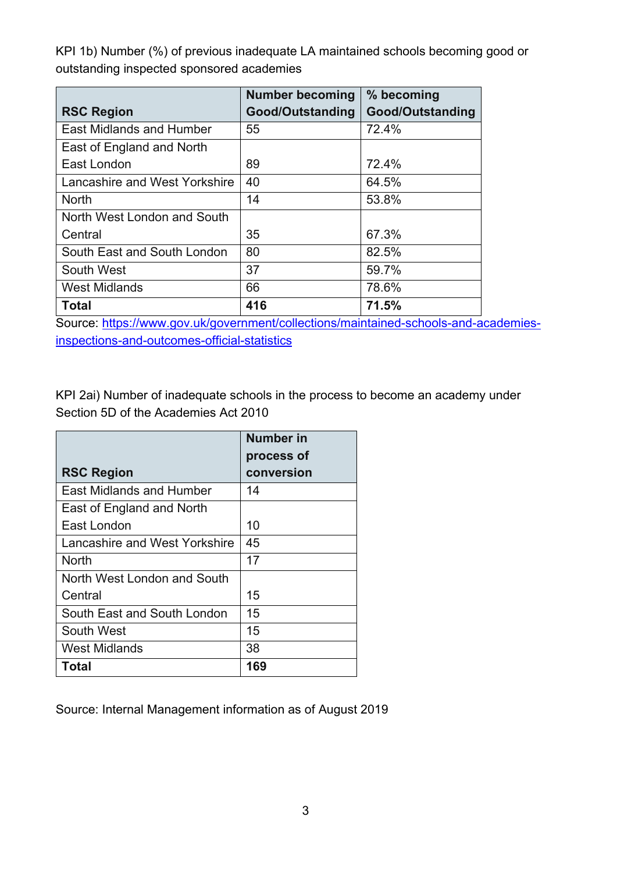KPI 1b) Number (%) of previous inadequate LA maintained schools becoming good or outstanding inspected sponsored academies

|                                 | <b>Number becoming</b> | % becoming       |
|---------------------------------|------------------------|------------------|
| <b>RSC Region</b>               | Good/Outstanding       | Good/Outstanding |
| <b>East Midlands and Humber</b> | 55                     | 72.4%            |
| East of England and North       |                        |                  |
| East London                     | 89                     | 72.4%            |
| Lancashire and West Yorkshire   | 40                     | 64.5%            |
| <b>North</b>                    | 14                     | 53.8%            |
| North West London and South     |                        |                  |
| Central                         | 35                     | 67.3%            |
| South East and South London     | 80                     | 82.5%            |
| South West                      | 37                     | 59.7%            |
| <b>West Midlands</b>            | 66                     | 78.6%            |
| Total                           | 416                    | 71.5%            |

inspections-and-outcomes-official-statistics Source: <https://www.gov.uk/government/collections/maintained-schools-and-academies>-

KPI 2ai) Number of inadequate schools in the process to become an academy under Section 5D of the Academies Act 2010

|                                 | <b>Number in</b> |
|---------------------------------|------------------|
|                                 | process of       |
| <b>RSC Region</b>               | conversion       |
| <b>East Midlands and Humber</b> | 14               |
| East of England and North       |                  |
| East London                     | 10               |
| Lancashire and West Yorkshire   | 45               |
| North                           | 17               |
| North West London and South     |                  |
| Central                         | 15               |
| South East and South London     | 15               |
| South West                      | 15               |
| <b>West Midlands</b>            | 38               |
| Total                           | 169              |

Source: Internal Management information as of August 2019